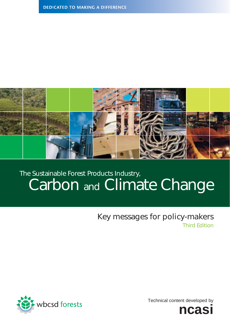

# Carbon and Climate Change The Sustainable Forest Products Industry,

## Key messages for policy-makers Third Edition



Technical content developed by

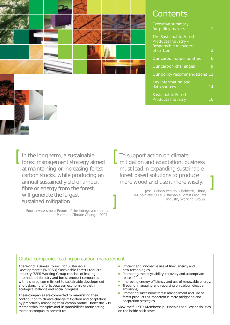

## **Contents**

| <b>Executive summary</b><br>for policy-makers                                                           |    |
|---------------------------------------------------------------------------------------------------------|----|
| <b>The Sustainable Forest</b><br><b>Products Industry -</b><br><b>Responsible managers</b><br>of carbon | 2  |
| Our carbon opportunities                                                                                | 6  |
| Our carbon challenges                                                                                   | 9  |
| Our policy recommendations 12                                                                           |    |
| Key information and<br>data sources                                                                     | 14 |
| <b>Sustainable Forest</b><br><b>Products Industry</b>                                                   | h  |

In the long term, a sustainable forest management strategy aimed at maintaining or increasing forest carbon stocks, while producing an annual sustained yield of timber, fibre or energy from the forest, will generate the largest sustained mitigation

Fourth Assessment Report of the Intergovernmental Panel on Climate Change, 2007.

To support action on climate mitigation and adaptation, business must lead in expanding sustainable forest based solutions to produce more wood and use it more wisely.

> José Luciano Penido, Chairman, Fibria, Co-Chair WBCSD's Sustainable Forest Products Industry Working Group.

## Global companies leading on carbon management

The World Business Council for Sustainable Development's (WBCSD) Sustainable Forest Products Industry (SFPI) Working Group consists of leading international forestry and forest product companies with a shared commitment to sustainable development and balancing efforts between economic growth, ecological balance and social progress.

These companies are committed to maximizing their contribution to climate change mitigation and adaptation by proactively managing their carbon profile. Under the SFPI Membership Principles and Responsibilities participating member companies commit to:

- **Efficient and innovative use of fiber, energy and** new technologies;
- Promoting the recyclability, recovery and appropriate reuse of fiber;
- Improving energy efficiency and use of renewable energy;
- Tracking, managing and reporting on carbon dioxide emissions;
- Promoting sustainable forest management and use of forest products as important climate mitigation and adaptation strategies.

View the full SFPI Membership Principles and Responsibilities on the inside back cover.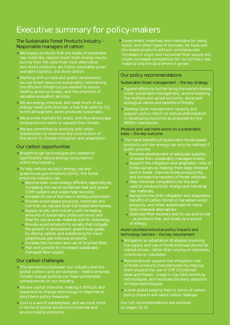# Executive summary for policy-makers

## The Sustainable Forest Products Industry – Responsible managers of carbon

- > We supply products that are made of renewable raw materials, require lower fossil energy inputs during their life cycle than most alternative non-wood products, are highly recyclable given available logistics, and store carbon.
- > Working with private and public landowners, we use forest resources sustainably, maintaining the efficient infrastructure needed to ensure healthy growing forests, and the provision of valuable ecosystem services.
- > We are energy intensive, but meet much of our energy needs with biomass, a fuel that adds no CO<sub>2</sub> to the atmosphere, when produced sustainably.
- > We provide markets for wood, and thus encourage landowners to retain or expand their forests.
- > We are committed to working with other stakeholders to maximize the contribution of the sector to climate mitigation and adaptation.

## Our carbon opportunities

- > Breakthrough technologies are needed to significantly reduce energy consumption within the industry.
- > To help reduce society's energy use and greenhouse gas emissions (GHG), the forest products industry can:
	- Become even more energy efficient, especially by increasing the use of combined heat and power (CHP) systems and waste heat recovery;
	- Increase its use of biomass in energy production;
	- Provide wood-based products, chemicals and fuel that can replace fossil fuel based alternatives;
	- Supply society and industry with increasing amounts of sustainably produced wood and fiber for use as a raw material and for bioenergy;
	- Provide wood products to society that mitigate the growth in atmospheric greenhouse gases by storing carbon and substituting for more greenhouse gas-intensive products;
	- Increase the recovery and use of recycled fiber;
	- Plan and provide for increased sustainably managed fiber supply.

## Our carbon challenges

- > The connections between our industry and the global carbon cycle are complex – hastily enacted climate change policies can have unintended consequences on our industry.
- > We are capital intensive, making it difficult and expensive to change technology in response to short-term policy measures.
- > Ours is a world marketplace, and we must think in terms of global solutions to business and environmental problems.

> Government incentives and mandates for using wood, and other types of biomass, for fuels and bio-based products without commensurate increases in virgin and recovered fiber supply will create increased competition for our primary raw material and the land where it grows.

## Our policy recommendations

Sustainable forest management – the key strategy

- > Expand efforts to further bring the world's forests under sustainable management, accommodating the multiple and varied economic, social and ecological values and benefits of forests.
- > Develop local management capacity and support policy reform to reduce deforestation in developing countries as proposed by the REDD+ mechanism.

Produce and use more wood on a sustainable basis – the key outcome

- > The many benefits of sustainable forest-based products and bio-energy can only be realized if public policies:
	- Promote development of adequate supplies of wood from sustainably managed forests;
	- Support the mitigation and adaptation roles of forest owners by helping them keep forested land in forest, improve forest productivity, and increase the recovery of forest residuals;
	- **Help minimize competition for the land** used to produce food, energy and industrial raw materials;
	- Recognize the GHG mitigation and adaptation benefits of carbon stored in harvested wood products, and when substituted for more GHG-intensive alternatives;
	- Optimize fiber recovery and its use and re-use – as products first, and finally as a source of energy.

Avoid counterproductive policy impacts and technology barriers – the key requirement

- > Mitigation or adaptation strategies involving the supply and use of forest biomass should be market-driven, rather than relying on subsidies, incentives or mandates.
- > Policies should support the mitigation role of forest products manufacturers by helping them expand the use of CHP (Combined Heat and Power), invest in low-GHG emitting technologies, and facilitate the early adoption of these technologies.
- > A level global playing field in terms of carbon policy impacts will avoid carbon leakage.

Our full recommendations are outlined on pages 12-13.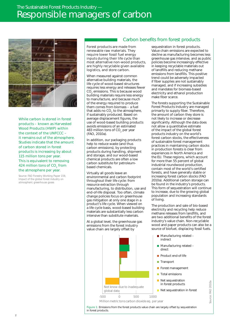## The Sustainable Forest Products Industry — Responsible managers of carbon



While carbon is stored in forest products – known as Harvested Wood Products (HWP) within the context of the UNFCCC – it remains out of the atmosphere. Studies indicate that the amount of carbon stored in forest products is increasing by about 115 million tons per year. This is equivalent to removing 424 million tons of CO<sub>2</sub> from the atmosphere per year.

*Source: FAO Forestry Working Paper 159, Impact of the global forest industry on atmospheric greenhouse gases*

## Carbon benefits from forest products

make fiber scarce.

Forest products are made from renewable raw materials. They require lower fossil fuel energy inputs during their life cycle than most alternative non-wood products, are highly recyclable given available logistics, and store carbon.

When measured against common alternative building materials, the life cycle of wood-based structures requires less energy and releases fewer CO<sub>2</sub> emissions. This is because wood building materials require less energy to manufacture, and because much of the energy required to produce them comes from biomass – a fuel that adds no  $CO<sub>2</sub>$  to the atmosphere, if sustainably produced. Based on average displacement figures, the use of wood-based building products avoids emissions of an estimated 483 million tons of CO<sub>2</sub> per year (FAO, 2010a).

In addition, our packaging products help to reduce waste (and thus carbon emissions), by protecting products during handling, shipment and storage, and our wood-based chemical products are often a low carbon substitute for petroleumbased chemicals.

Virtually all goods leave an environmental and carbon footprint throughout their life cycle: from resource extraction through manufacturing, to distribution, use and end-of-life disposal. Too often, climate change policies focus on greenhouse gas mitigation at only one stage in a product's life cycle. When viewed on a life cycle basis, wood-based building materials are substantially less carbon intensive than substitute materials.

At a global level, the greenhouse gas emissions from the forest industry value chain are largely offset by



in forest products.

sequestration in forest products. Value chain emissions are expected to decline as manufacturing becomes less greenhouse gas intensive, and as public policies become increasingly effective in keeping recyclable materials out of landfills and reducing methane emissions from landfills. This positive trend could be adversely impacted if fiber supplies are not sustainably managed, and if increasing subsidies and mandates for biomass-based electricity and ethanol production

The forests supporting the Sustainable Forest Products Industry are managed primarily to supply fiber. Therefore, the amount of carbon they store is not likely to increase or decrease significantly. Although the data does not allow a quantitative estimate of the impact of the global forest products industry on the world's forest carbon stocks, the effectiveness of sustainable forest management practices in maintaining carbon stocks in production forests is clear from experiences in North America and the EU. These regions, which account for more than 55 percent of global industrial roundwood production, contain most of the world's certified forests, and have generally stable or increasing forest carbon stocks (FAO 2010a). Additional carbon storage can be found in the industry's products. This form of sequestration will continue to increase, due to the growing global population and increasing standards of living.

The production and sale of bio-based electricity and recycling help reduce methane releases from landfills, and are two additional benefits of the forest industry's value chain. Non-recyclable wood and paper products can also be a source of biofuel, displacing fossil fuels.

- Manufacturing related indirect
- Manufacturing related direct
- Product end-of-life
- Transport
- Forest management
- **T** Total emissions
- Net sequestration in forest products

■ Net sequestration in forest

Source: FAO 2010a Source: FAO 2010a

2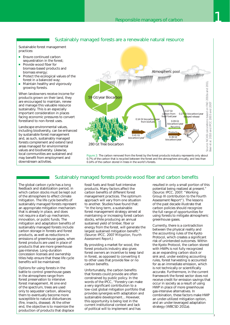#### Sustainably managed forests are a renewable natural resource

Sustainable forest management practices:

- **Ensure continued carbon** sequestration in the forest;
- Provide wood fiber for biomass-based products and biomass energy;
- Protect the ecological values of the forest in a balanced way;
- **Maintain healthy and vigorously** growing forests.

When landowners receive income for products grown on their land, they are encouraged to maintain, renew and manage this valuable resource sustainably. This is an especially important consideration in places facing economic pressures to convert forestland to non-forest uses.

Landscape environmental values, including biodiversity, can be enhanced by sustainable forest management and, as such, sustainably managed forests complement and extend land areas managed for environmental values and biodiversity. Likewise, local communities are sustained and may benefit from employment and downstream activities.



#### Sustainably managed forests provide wood fiber and carbon benefits

The global carbon cycle has a long feedback and stabilization period, in which carbon stocks must be kept out of the atmosphere to effect climate mitigation. The life cycle benefits of sustainably managed forests represent an appropriate mitigation mechanism that is already in place, and does not require a start-up mechanism, innovation, or public funds. The mitigation and adaptation benefits of sustainably managed forests include carbon storage in forests and forest products, as well as reductions in emissions of greenhouse gases, when forest products are used in place of products that are more greenhouse gas-intensive. Long-duration concession licenses and ownership titles help ensure that these life cycle benefits will be maintained.

Options for using forests in the battle to control greenhouse gases in the atmosphere range from forest preservation to intensive forest management. At one end of the spectrum, trees are used only to sequester carbon, allowing them to eventually become more susceptible to natural disturbances (fire, insects, disease). At the other end, the objective is to maximize the production of products that displace fossil fuels and fossil fuel-intensive products. Many factors affect the carbon benefits of different forest management practices. The optimum approach will vary from one situation to another. Studies have found that: "In the long term, a sustainable forest management strategy aimed at maintaining or increasing forest carbon stocks, while producing an annual sustained yield of timber, fiber or energy from the forest, will generate the largest sustained mitigation benefit." (Source: IPCC. 2007 *Mitigation, Fourth Assessment Report*.)

By providing a market for wood, the forest products industry also gives forest owners an incentive to keep land in forest, as opposed to converting it to other uses that provide few or no carbon benefits.

Unfortunately, the carbon benefits that forests could provide are often constrained by public policy. In the words of the IPCC, "Forestry can make a very significant contribution to a low-cost global mitigation portfolio that provides synergies with adaptation and sustainable development… However, this opportunity is being lost in the current institutional context and lack of political will to implement and has

resulted in only a small portion of this potential being realized at present." (Source: IPCC. 2007. "Working Group III contribution to the Fourth Assessment Report"). The lessons of the past decade illustrate that carbon policies should recognize the full range of opportunities for using forests to mitigate atmospheric greenhouse gases.

Currently, there is a contradiction between the physical reality and the accounting rules of the Kyoto Protocol, which creates a significant risk of unintended outcomes. Within the Kyoto Protocol, the carbon stored with HWPs is not fully recognized as an expanding carbon stock or sink and, under existing accounting rules, forest harvesting is accounted for as an immediate emission, which is not technically or scientifically accurate. Furthermore, in the current framework the forest sector does not receive credit for emission savings that occur in society as a result of using HWP in place of more greenhouse gas-intensive alternatives. In combination, these factors make HWP an under-utilized mitigation option, and an under-leveraged adaptation strategy (WBCSD 2011a).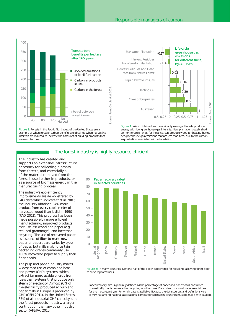#### Responsible managers of carbon



### The forest industry is highly resource efficient

The industry has created and supports an extensive infrastructure necessary for collecting biomass from forests, and essentially all of the material removed from the forest is used either in products, or as a source of biomass energy in the manufacturing process.

The industry's eco-efficiency improvements are demonstrated by FAO data which indicate that in 2007, the industry obtained 34% more product from every cubic meter of harvested wood than it did in 1990 (FAO 2011). This progress has been made possible by more efficient manufacturing, improved products that use less wood and paper (e.g., reduced grammage), and increased recycling. The use of recovered paper as a source of fiber to make new paper or paperboard varies by type of paper, but mills making certain packaging grades commonly use 100% recovered paper to supply their fiber needs.

The pulp and paper industry makes widespread use of combined heat and power (CHP) systems, which extract far more usable energy from fuels than systems that produce only steam or electricity. Almost 95% of the electricity produced at pulp and paper mills in Europe is produced by CHP (CEPI 2011). In the United States, 37% of all industrial CHP capacity is in the forest products industry, a larger contribution than any other industry sector (AF&PA, 2010).



Figure 5: In many countries over one-half of the paper is recovered for recycling, allowing forest fiber to serve repeated uses.

<sup>1</sup> Paper recovery rate is generally defined as the percentage of paper and paperboard consumed domestically that is recovered for recycling or other uses. Data is from national trade associations for the most recent year for which data is available. Because the data sources and definitions vary somewhat among national associations, comparisons between countries must be made with caution.

4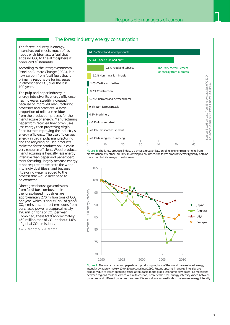## The forest industry energy consumption

The forest industry is energyintensive, but meets much of its needs with biomass, a fuel that adds no CO<sub>2</sub> to the atmosphere if produced sustainably

According to the Intergovernmental Panel on Climate Change (IPCC), it is new carbon from fossil fuels that is primarily responsible for increases in atmospheric CO<sub>2</sub> over the last 100 years.

The pulp and paper industry is energy-intensive. Its energy efficiency has, however, steadily increased, because of improved manufacturing processes and practices. A large proportion of mills use residue from the production process for the manufacture of energy. Manufacturing paper from recycled fiber often uses less energy than processing virgin fiber, further improving the industry's energy efficiency. The use of biomass energy in virgin pulp manufacturing and the recycling of used products make the forest products value chain very resource efficient. Wood products manufacturing is typically less energy intensive than paper and paperboard manufacturing, largely because energy is not required to separate the wood into individual fibers, and because little or no water is added to the process that would later need to be extracted.

Direct greenhouse gas emissions from fossil fuel combustion in the forest-based industries are approximately 270 million tons of CO. per year, which is about 0.9% of global CO<sub>2</sub> emissions. Indirect emissions from purchased power are approximately 190 million tons of  $CO<sub>2</sub>$  per year. Combined, these total approximately 460 million tons of CO<sub>2</sub> or about 1.6% of global CO<sub>2</sub> emissions.

*Source: FAO 2010a and IEA 2010*



Figure 6: The forest products industry derives a greater fraction of its energy requirements from biomass than any other industry. In developed countries, the forest products sector typically obtains more than half its energy from biomass.



Figure 7: The major paper and paperboard producing regions of the world have reduced energy intensity by approximately 10 to 20 percent since 1990. Recent upturns in energy intensity are probably due to lower operating rates, attributable to the global economic slowdown. Comparisons between regions must be carried out with caution, because the 1990 energy intensity varied between<br>countries, and different countries may use different calculation methods to determine energy intensity.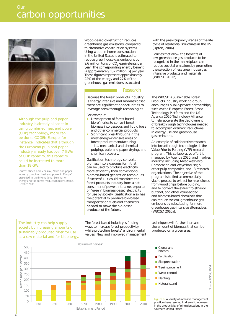

Although the pulp and paper industry is already a leader in using combined heat and power (CHP) technology, more can be done. COGEN Europe, for instance, indicates that although the European pulp and paper industry already has over 7 GWe of CHP capacity, this capacity could be increased to more than 18 GW.

*Source: Minett and Mensink, "Pulp and paper industry combined heat and power in Europe", presented to the International Seminar on Energy and the Forest Products Industry, Rome, October 2006.*

Wood-based construction reduces greenhouse gas emissions, compared to alternative construction systems. Using wood in home construction in the United States is estimated to reduce greenhouse gas emissions by 9.6 million tons of CO<sub>2</sub> equivalents per year. The corresponding energy benefit is approximately 132 million GJ per year. These figures represent approximately 22% of the energy and 27% of the greenhouse gas emissions associated

#### Research

Because the forest products industry is energy intensive and biomass based, there are significant opportunities to leverage breakthrough technologies.

For example:

- Development of forest-based biorefineries to convert forest biomass into gaseous and liquid fuels and other commercial products;
- Significant breakthroughs in the most energy-intensive areas of forest product manufacturing – i.e., mechanical and chemical pulping, pulp and paper drying, and chemical recovery.

Gasification technology converts biomass into a gaseous form that can be used to produce electricity more efficiently than conventional biomass-based generation techniques. If successful, it could transform the forest products industry from a net consumer of power, into a net exporter of "green" biomass-based electricity for use by society. Gasification also has the potential to produce bio-based transportation fuels and chemicals, needed to make the bio-based products of the future.

The industry can help supply society by increasing amounts of sustainably produced fiber for use as a raw material and for bioenergy. The forest-based industry is finding ways to increase forest productivity, while protecting forests' environmental values. New and improved management



with the preoccupancy stages of the life cycle of residential structures in the US (Upton, 2006).

Policies that allow the benefits of low greenhouse gas products to be recognized in the marketplace can reduce societal emissions by promoting the selection of less greenhouse gas intensive products and materials. (WBCSD 2011b)

The WBCSD's Sustainable Forest Products Industry working group encourages public-private partnerships, such as the European Forest-Based Technology Platform and the US Agenda 2020 Technology Alliance, to help accelerate the deployment of breakthrough technologies needed to accomplish dramatic reductions in energy use and greenhouse gas emissions.

An example of collaborative research into breakthrough technologies is the Value Prior to Pulping (VPP) research program. This collaborative effort is managed by Agenda 2020, and involves industry, including MeadWestvaco Corporation and Weyerhaeuser, 5 other pulp companies, and 13 research organizations. The objective of the program is to find a commercially viable process to extract hemicelluloses from wood chips before pulping, and to convert the extract to ethanol, butanol, and other value-added and biomass-based chemicals that can reduce societal greenhouse gas emissions by substituting for more greenhouse gas-intensive alternatives. (WBCSD 2010a).

techniques will further increase the amount of biomass that can be produced on a given area.



Figure 8: A variety of intensive management practices have resulted in dramatic increases in the productivity of pine plantations in the Southern United States.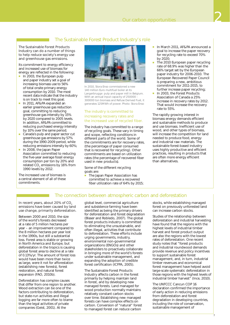## The Sustainable Forest Product Industry's role

The Sustainable Forest Products Industry can do a number of things to help reduce society's energy use and greenhouse gas emissions.

Its commitment to energy efficiency and increased use of biomass for energy are reflected in the following:

- $\blacksquare$  In 2003, the European pulp and paper industry set a goal of increasing biomass use to 56% of total onsite primary energy consumption by 2010. The most recent data indicate that the industry is on track to meet this goal;
- In 2011, AF&PA expanded an earlier greenhouse gas reduction goal, committing to reducing greenhouse gas intensity by 15% by 2020 compared to 2005 levels. In addition, AF&PA committed to reducing purchased energy intensity by 10% over the same period;
- Canada's pulp and paper sector cut greenhouse gas emissions by 57% during the 1990-2009 period, while reducing emissions intensity by 60%;
- In 2008, the Japan Paper Association committed to reducing the five-year average fossil energy consumption per ton by 20% and related CO<sub>2</sub> emissions by 16% from 1990 levels by 2012.

The increased use of biomass is a central element of all of these commitments.



In 2010, Stora Enso commissioned a new 140 million Euro multifuel boiler at its Langerbrugge pulp and paper mill in Belgium. With an annual input capacity of 250000 – 300000 ton biomass and Refuse Derived Fuel, it generates 125MWh of power. Photo: Stora Enso

#### The industry is committed to increasing recovery rates and the increased use of recycled fiber.

The industry has committed to a range of recycling goals. These vary in timing and scope, reflecting conditions in different parts of the world. Some of the commitments are for recovery rates, (the percentage of paper consumed that is recovered for recycling). Other commitments are based on utilization rates (the percentage of recovered fiber used in new products).

Some of the different recycling goals are:

 The Japan Paper Association has committed to achieve a recovered fiber utilization rate of 64% by 2015;

- In March 2011, AF&PA announced a goal to increase the paper recovery for recycling rate to exceed 70% by 2020;
- The 2010 European paper recycling rate of 68.9% was higher than the 66% target set by the European paper industry for 2006-2010. The European Recovered Paper Council is preparing a new, ambitious commitment for 2011-2015, to further increase paper recycling;
- In 2003, the Forest Products Association of Canada a 25% increase in recovery rates by 2012. That would increase the recovery rate to 55%.

The rapidly growing interest in biomass energy demands efficient and sustainable methods to produce and use biomass. Inefficient use of wood, and other types of biomass, will increase the competition for land needed to produce food, energy and industrial raw materials. The sustainable forest-based industry uses highly productive and efficient practices, resulting in products that are often more energy efficient than alternatives.

#### The connection between atmospheric carbon and deforestation

In recent years, about 20% of CO<sub>2</sub> emissions have been caused by land use change, primarily deforestation.

Between 2000 and 2010, the size of the world's forests decreased at a rate of 5 million hectares per year – an improvement compared to the 8 million hectares per year lost in the 1990s, but still a substantial loss. Forest area is stable or growing in North America and Europe, but deforestation in the tropics is causing global forest area to decline at a rate of 0.13%/yr. The amount of forest loss would have been more than twice as large, were it not for afforestation (establishing new forests), forest restoration, and natural forest expansion (FAO, 2010b).

Deforestation has complex causes that differ from one region to another. Wood extraction can be one of the factors contributing to deforestation, but state-run activities and illegal logging are far more often to blame than the legal activities of private companies (Geist, 2001). At the

global level, commercial agriculture and subsistence farming have been identified as being the primary drivers for deforestation and forest degradation (Blaser and Robledo, 2007). The global forest products industry is committed to eliminating the unsustainable, and often illegal, activities that contribute to deforestation. These efforts include urging governments, industry, environmental non-governmental organizations (ENGOs) and other stakeholders to proactively collaborate in bringing more of the world's forests under sustainable management, and expanding the adoption of credible forest certification (ICFPA, 2005).

The Sustainable Forest Products Industry affects carbon in the forest primarily by helping maintain land in forest, and by developing new managed forests. Land managed for wood production normally maintains relatively constant carbon stocks over time. Establishing new managed forests can have complex effects on carbon. Conversion of "natural" forest to managed forest can reduce carbon

stocks, while establishing managed forest on previously unforested land can increase carbon stocks.

Studies of the relationship between deforestation and industrial harvesting have found that the regions with the highest levels of industrial timber harvest and forest product output are also the regions with the lowest rates of deforestation. One recent study notes that "forest products and industrial roundwood demands provide revenue and policy incentives to support sustainable forest management, and, in turn, industrial timber revenues and economical forest management have helped avoid large-scale systematic deforestation in those regions with the highest levels of industrial timber harvest" (Ince, 2010).

The UNFCCC Cancun COP 16 declaration confirmed the importance of early action in reducing emissions from deforestation and forest degradation in developing countries, including the role of conservation, sustainable management of

7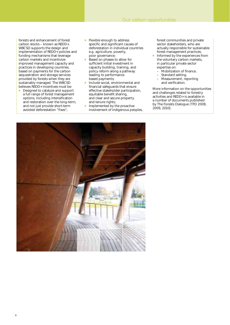forests and enhancement of forest carbon stocks – known as REDD+. WBCSD supports the design and implementation of REDD+ policies and funding mechanisms that leverage carbon markets and incentivize improved management capacity and practices in developing countries, based on payments for the carbon sequestration and storage services provided by forests when they are sustainably managed. The WBCSD believes REDD+ incentives must be:

- Designed to catalyze and support a full range of forest management options, including intensification and restoration over the long-term, and not just provide short-term avoided deforestation "fixes";
- **Flexible enough to address** specific and significant causes of deforestation in individual countries e.g. agriculture, poverty, poor governance;
- Based on phases to allow for sufficient initial investment in capacity building, training, and policy reform along a pathway leading to performance based payments;
- **Include social, environmental and** financial safeguards that ensure effective stakeholder participation, equitable benefit sharing, and clear and secure property and tenure rights;
- **Implemented by the proactive** involvement of indigenous peoples,

forest communities and private sector stakeholders, who are actually responsible for sustainable forest management practices;

- Informed by the experiences from the voluntary carbon markets, in particular private sector expertise on:
	- Mobilization of finance.
	- Standard setting.
	- Measurement, reporting
	- and verification.

More information on the opportunities and challenges related to forestry activities and REDD+ is available in a number of documents published by The Forests Dialogue (TFD 2008, 2009, 2010).

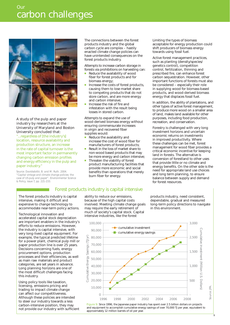

A study of the pulp and paper industry by researchers at the University of Maryland and Boston University concluded that: "...regardless of [the industry's] location, resource availability and production structure, an increase in the rate of capital turnover is the most important factor in permanently changing carbon emission profiles and energy efficiency in the pulp and paper industry."

*Source: Davidsdottir, B. and M. Ruth. 2004. "Capital vintage and climate change policies: the case of US pulp and paper". Environmental Science & Policy, issue 7, pp. 221-233.*

The connections between the forest products industry and the global carbon cycle are complex – hastily enacted climate change policies can have unintended consequences on the forest products industry.

Attempts to increase carbon storage in forests via prohibitions on harvesting can:

- Reduce the availability of wood fiber for forest products and for biomass energy;
- Increase the costs of forest products, causing them to lose market share to competing products that do not store carbon, and are more energy and carbon intensive;
- Increase the risk of fire and infestation with the result being losses in stored carbon.

Attempts to expand the use of wood-derived biomass energy without ensuring commensurate increases in virgin and recovered fiber supplies would:

- Reduce the availability and increase the cost of wood fiber for manufacturers of forest products;
- Result in the loss of market share to non-wood based products that may be more energy and carbon intensive;
- Threaten the viability of forest product manufacturing facilities that provide more economic and social benefits than operations that merely burn fiber for energy.

## Forest products industry is capital intensive

The forest products industry is capital intensive, making it difficult and expensive to change technology to accommodate near-term policy actions.

Technological innovation and accelerated capital stock depreciation are important enablers in the industry's efforts to reduce emissions. However, the industry is capital intensive, with very long-lived capital equipment. For example, the typical predicted lifetime for a power plant, chemical pulp mill or paper production line is over 25 years. Decisions concerning fuels, energy procurement options, production processes and their efficiencies, as well as main raw materials and product categories, are set years in advance. Long planning horizons are one of the most difficult challenges facing this industry.

Using policy tools like taxation, licensing, emissions pricing and trading to impact climate change can affect our competitiveness. Although these policies are intended to steer our industry towards a less carbon-intensive position, they may not provide our industry with sufficient ability to reduce our emissions, because of the high capital costs involved. Meeting climate change goals may require the early retirement of much of society's capital stock. Capital intensive industries, like the forest

Limiting the types of biomass acceptable for energy production could shift producers of biomass energy towards using fossil fuel.

Active forest management practices, such as planting (density/species/ genetics control), competition control, fertilization, thinning and prescribed fire, can enhance forest carbon sequestration. However, other important functions of forests must also be considered – especially their role in supplying wood for biomass-based products, and wood-derived biomass energy that displaces fossil fuel.

In addition, the ability of plantations, and other types of active forest management, to produce more wood on a smaller area of land, makes land available for other purposes, including food production, recreation, and conservation.

Forestry is challenged with very long investment horizons and uncertain economic returns on investments in improved productivity. Where these challenges can be met, forest management for wood fiber provides a critical economic incentive for keeping land in forests. The alternative is conversion of forestland to other uses that provide little or no climate and energy benefits. On the other side is the need for appropriate land use choices and long term planning, to ensure balance between supply and demand for forest resources.

products industry, need consistent, dependable, gradual and measured long-term policy directions to navigate in this environment.

9



and equipment to accomplish cumulative energy savings of over 70,000 TJ per year, equivalent to approximately 12 million barrels of oil per year.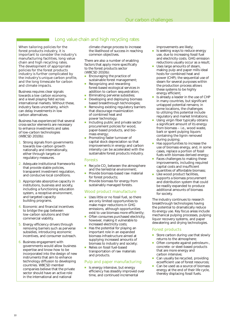## Long value chain and high recycling rates

When tailoring policies for the forest products industry, it is important to consider the industry's manufacturing facilities, long value chain and high recycling rates. The development of appropriate policies for the forest products industry is further complicated by the industry's unique carbon profile, and the long timescale for carbon and climate impacts.

Business requires clear signals towards a low carbon economy, and a level playing field across international markets. Without these, industry faces uncertainty, which can delay investments in low carbon alternatives.

Business has experienced that several cross-sector elements are necessary to enhance investments and sales of low-carbon technologies (WBCSD 2010b):

- 1. Strong signals from governments towards low-carbon growth nationally and internationally, either through targets or regulatory measures.
- 2. Adequate institutional frameworks that provide stable policies, transparent investment regulation, and conducive local conditions.
- 3. Appropriate absorptive capacity in institutions, business and society, including a functioning education system, a receptive environment, and targeted capacity building programs.
- 4. Economic and financial incentives to bridge the gap between low-carbon solutions and their commercial viability.
- 5. Energy efficiency drivers through removing barriers such as perverse subsidies, introducing economic incentives, and consumer outreach.
- 6. Business engagement with governments would allow business expertise and know-how to be incorporated into the design of new instruments that aim to enhance technology diffusion to developing countries. WBCSD member companies believe that the private sector should have an active role in the international and national

climate change process to increase the likelihood of success in reaching common objectives.

There are also a number of enabling factors that apply more specifically to the forest products sector (WBCSD 2010b):

- Encouraging the practice of sustainable forest management; Recognizing and rewarding forest-based ecological services in
- addition to carbon sequestration; Eliminating perverse subsidies;
- Developing and deploying biomass
- based breakthrough technologies; Removing existing regulatory barriers that discourage maximization of combined heat and power technology;
- Including public and private sector procurement policies for wood, paper-based products, and biomass energy;
- Promoting faster turnover of capital stock depreciation so that improvements in energy and carbon intensity can be accelerated with the sustainable forest products industry.

#### Forests

- Recycle CO<sub>2</sub> between the atmosphere and the terrestrial environment;
- Provide biomass-based raw material for forest products;
- Provide biomass for energy from sustainably managed forests.

#### Wood product manufacture

- Uses little or no fossil fuel, so there are only limited opportunities to make major reductions in GHG emissions, although opportunities exist to use biomass more efficiently;
- Often consumes purchased electricity, however, making it vulnerable to increased electricity costs;
- Has the potential for playing an important role in an expanded biomass infrastructure aimed at supplying increased amounts of biomass to industry and society;
- Relies on fossil fuel-based transportation of raw materials and products.

#### Pulp and paper manufacturing

 $\blacksquare$  Is energy intensive, but energy efficiency has steadily improved over time, and continued incremental

improvements are likely;

- Is seeking ways to reduce energy use, due to increasing fossil fuel and electricity costs. GHG emission reductions usually occur as a result;
- Uses large amounts of steam, making pulp and paper mills ideal hosts for combined heat and power (CHP); the sequential use of steam for several purposes within the production process allows these systems to be highly energy efficient;
- Is already a leader in the use of CHP in many countries, but significant untapped potential remains; in some locations, the challenges to utilizing this potential include regulatory and market limitations;
- Using virgin fiber typically obtains a significant amount of its energy from biomass – i.e., wood waste, bark or spent pulping liquors containing the lignin removed during pulping;
- Has opportunities to increase the use of biomass energy, and, in some cases, replace a portion of fossil fuels with biomass derived energy;
- Faces challenges to making these improvements, including required capital costs and insufficient quantities of affordable biomass;
- Like wood product facilities, supports a biomass procurement and distribution system that could be readily expanded to produce additional amounts of biomass for society.

The industry continues to research breakthrough technologies having the potential to dramatically reduce its energy use. Key focus areas include mechanical pulping processes, pulping liquor recovery systems, and paper dewatering and drying technologies.

#### Forest products

- Store carbon during use that slowly returns to the atmosphere;
- Often compete against petroleum-, concrete- or steel-based products that are more energy and carbon intensive;
- Can usually be recycled, providing ecoefficient use of forest resources;
- Can be used as a source of biomass energy at the end of their life cycle, thereby displacing fossil fuels.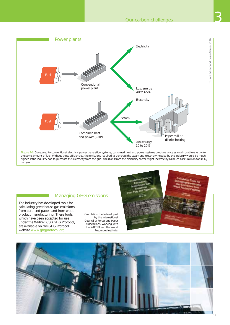

the same amount of fuel. Without these efficiencies, the emissions required to generate the steam and electricity needed by the industry would be much higher. If the industry had to purchase this electricity from the grid, emissions from the electricity sector might increase by as much as 95 million tons CO<sub>2</sub> per year.

## Managing GHG emissions

The industry has developed tools for calculating greenhouse gas emissions from pulp and paper, and from wood product manufacturing. These tools, which have been accepted for use under the WRI/WBCSD GHG Protocol, are available on the GHG Protocol website www.ghgprotocol.org.

Calculation tools developed by the International Council of Forest and Paper Associations, working with the WBCSD and the World Resources Institute.





Source: Miner and Perez-Garcia, 2007

Source: Miner and Perez-Garcia, 2007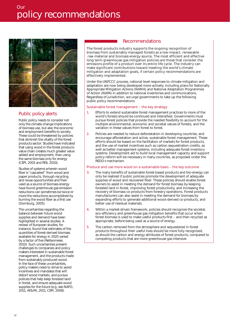

## Public policy alerts

Public policy needs to consider not only the climate-change implications of biomass use, but also the economic and employment benefits to society. These could be threatened by policies that diminish the vitality of the forest products sector. Studies have indicated that using wood in the forest products value chain creates much greater value added and employment, than using the same biomass only for energy (CEPI, 2003 and RISI, 2010).

Studies of systems wherein wood fiber is "cascaded" from wood and paper products, through recycling and reuse opportunities and then used as a source of biomass energy have found greenhouse gas emission reductions can sometimes be twice or more the reductions accomplished by burning the wood fiber as a first use (Dornburg, 2005).

The uncertainties regarding the balance between future wood supplies and demand have been highlighted in several studies. A review of European studies, for instance, found that estimates of the quantities of forest-derived biomass available for energy in 2020 varied by a factor of five (Rettenmeier, 2010). Such uncertainties present challenges to companies and policy makers interested in sustainable forest management, and the products made from sustainably produced wood. In the face of these uncertainties, policy makers need to strive to avoid incentives and mandates that will distort wood markets, and pursue policies that help keep forested land in forest, and ensure adequate wood supplies for the future (e.g. see NAFO, 2011, AF&PA, 2011, CEPI, 2008).

#### Recommendations

The forest products industry supports the ongoing recognition of biomass from sustainably managed forests as a low-impact, renewable raw material and biomass energy source. The most efficient and effective long term greenhouse gas mitigation policies are those that consider the emissions profile of a product over its entire life cycle. The industry can make significant contributions toward meeting the world's climate mitigation and adaptation goals, if certain policy recommendations are effectively implemented.

Under the UNFCCC process, national level responses to climate mitigation and adaptation are now being developed more actively, including plans for Nationally Appropriate Mitigation Actions (NAMA) and National Adaptation Programmes of Action (NAPA) in addition to national inventories and communications. Regardless of jurisdiction, we urge governments to take up the following public policy recommendations:

#### Sustainable forest management – the key strategy

- 1. Efforts to extend sustainable forest management practices to more of the world's forests should be continued and intensified. Governments must pursue forest policies that provide the needed flexibility to account for the multiple environmental, economic and societal values of forests, and the variation in these values from forest to forest.
- 2. Policies are needed to reduce deforestation in developing countries, and encourage afforestation and active, sustainable forest management. These efforts should be based on the facilitation of markets for forest products, and the use of market incentives such as carbon sequestration credits, as well as better management systems, including adequate forest inventory systems. Development aid to build local management capacity and support policy reform will be necessary in many countries, as proposed under the REDD+ mechanism.

#### Produce and use more wood on a sustainable basis – the key outcome

- 3. The many benefits of sustainable forest-based products and bio-energy can only be realized if public policies promote the development of adequate supplies of wood and recovered fiber. These policies should enable forest owners to assist in meeting the demand for forest biomass by keeping forested land in forest, improving forest productivity, and increasing the recovery of biomass co-products from forestry operations. Forest products manufacturers can also assist in meeting the demand for biomass by expanding efforts to generate additional wood-derived co-products, and better use of residual materials.
- 4. Within a market-driven framework, policies should recognize the societal, eco-efficiency and greenhouse gas mitigation benefits that occur when forest biomass is used to make useful products first – and then recycled as appropriate, before being used as a source of energy.
- 5. The carbon removed from the atmosphere and sequestered in forest products throughout their useful lives should be more fully recognized, as should the carbon and energy attributes of forest products, compared to competing products that are more greenhouse gas intensive.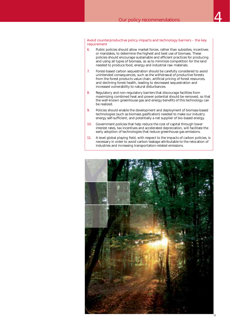Avoid counterproductive policy impacts and technology barriers – the key requirement

- 6. Public policies should allow market forces, rather than subsidies, incentives or mandates, to determine the highest and best use of biomass. These policies should encourage sustainable and efficient practices for producing and using all types of biomass, so as to minimize competition for the land needed to produce food, energy and industrial raw materials.
- 7. Forest-based carbon sequestration should be carefully considered to avoid unintended consequences, such as the withdrawal of productive forests from the forest products value chain, artificial pricing of forest resources, and declining forest health, leading to decreased sequestration and increased vulnerability to natural disturbances.
- 8. Regulatory and non-regulatory barriers that discourage facilities from maximizing combined heat and power potential should be removed, so that the well-known greenhouse gas and energy benefits of this technology can be realized.
- 9. Policies should enable the development and deployment of biomass-based technologies (such as biomass gasification) needed to make our industry energy self-sufficient, and potentially a net supplier of bio-based energy.
- 10. Government policies that help reduce the cost of capital through lower interest rates, tax incentives and accelerated depreciation, will facilitate the early adoption of technologies that reduce greenhouse gas emissions.
- 11. A level global playing field, with respect to the impacts of carbon policies, is necessary in order to avoid carbon leakage attributable to the relocation of industries and increasing transportation-related emissions.

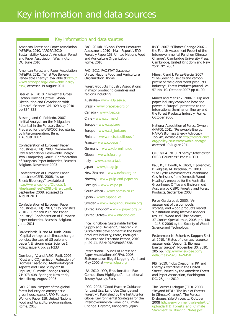# Key information and data sources

### Key information and data sources

American Forest and Paper Association (AF&PA), 2010, "AF&PA 2010 Sustainability Report", American Forest and Paper Association, Washington, DC, June 2010

American Forest and Paper Association (AF&PA), 2011, "What We Believe: Renewable Energy", available at http:// www.afandpa.org/RenewableEnergy. aspx, accessed 19 August 2011

Beer et. al.. 2010. "Terrestrial Gross Carbon Dioxide Uptake: Global Distribution and Covariation with Climate". Science. Vol. 329 Aug 2010 pp 834-838

Blaser, J. and C. Robledo, 2007. "Initial Analysis on the Mitigation Potential in the Forestry Sector." Prepared for the UNFCCC Secretariat by Intercooperation, Bern. 1 August 2007

Confederation of European Paper Industries (CEPI). 2003. "Renewable Raw Materials vs. Renewable Energy: Two Competing Goals". Confederation of European Paper Industries, Brussels, Belgium. November 2003

Confederation of European Paper Industries (CEPI). 2008. "Issue Sheet: Bioenergy", available at http://www.cepi.org/Objects/1/ Files/IssueSheet%20Bio-Energy.pdf. September 2008, accessed 19 August 2011

Confederation of European Paper Industries (CEPI). 2011, "Key Statistics 2010 – European Pulp and Paper Industry", Confederation of European Paper Industries, Brussels, Belgium, June, 2011

Davidsdottir, B. and M. Ruth. 2004. "Capital vintage and climate change policies: the case of US pulp and paper". Environmental Science & Policy, issue 7, pp. 221-233.

Dornburg, V. and A.P.C. Faaij, 2005, "Cost and CO<sub>2</sub>-emission Reduction of Biomass Cascading: Methodological Aspects and Case Study of SRF Popular," Climatic Change (2005) 71: 373-408, Springer, New York / Heidelberg. August 2005

FAO. 2010a. "Impact of the global forest industry on atmospheric greenhouse gases", FAO Forestry Working Paper 159. United Nations Food and Agriculture Organization. Rome. 2010

14

FAO. 2010b. "Global Forest Resources Assessment 2010 - Main Report". FAO Forestry Paper 163. United Nations Food and Agriculture Organization. Rome. 2010

FAO. 2011. FAOSTAT Database. United Nations Food and Agriculture Organization. Rome

Forest Products Industry Associations in major producing countries and regions including:

Australia – www.a3p.asn.au

Brazil – www.bracelpa.org.br

Canada – www.fpac.ca

Chile – www.corma.cl

Europe – www.cepi.org

Europe – www.cei\_bois.org

Finland – www.metsateollisuus.fi

France – www.copacel.fr

Germany – www.vdp-online.de

Global – www.icfpa.org

Italy – www.assocarta.it

Japan – www.jpa.gr.jp

New Zealand – www.nzfoa.org.nz

Norway – www.pulp-and-paper.no

Portugal – www.celpa.pt

South Africa – www.pamsa.co.za

Spain – www.aspapel.es

Sweden – www.skogsindustrierna.org

United Kingdom – www.paper.org.uk

United States – www.afandpa.org

Ince, P. "Global Sustainable Timber Supply and Demand", Chapter 2 in Sustainable development in the forest products industry, Porto, Portugal : Universidade Fernando Pessoa, 2010: p. 29-41. ISBN: 9789896430528.

International Council of Forest and Paper Associations (ICFPA). 2005. Statements on Illegal Logging, April and May 2005 at www.icfpa.org

IEA. 2010. "CO<sub>2</sub> Emissions from Fuel Combustion: Highlights". International Energy Agency. Paris

IPCC. 2003. "Good Practice Guidance for Land Use, Land Use Change and Forestry". Published by the Institute for Global Environmental Strategies for the Intergovernmental Panel on Climate Change. Hayama, Kanagawa, Japan

IPCC. 2007. "Climate Change 2007 – the Fourth Assessment Report of the Intergovernmental Panel on Climate Change". Cambridge University Press, Cambridge, United Kingdom and New York, NY. 2007

Miner, R and J. Perez-Garcia. 2007. "The Greenhouse gas and carbon profile of the global forest products industry". Forest Products Journal. Vol. 57. No. 10. October 2007 pp 81-90

Minett and Mensink. 2006. "Pulp and paper industry combined heat and power in Europe", presented to the International Seminar on Energy and the Forest Products Industry, Rome, October 2006

National Association of Forest Owners (NAFO). 2011. "Renewable Energy: NAFO's Biomass Energy Advocacy Toolkit", available at http://nafoalliance. org/policy-issues/renewable-energy/, accessed 19 August 2011

OECD/IEA. 2010. "Energy Statistics for OECD Countries." Paris: OECD.

Paul, K., T. Booth, A. Elliott, T. Jovanovic, P. Polglase, M. Kirschbaum. 2003. "Life Cycle Assessment of Greenhouse Gas Emissions from Domestic Wood Heating", prepared for the Australian Greenhouse Office and Environment Australia by CSIRO Forestry and Forest Products, September 2003

Perez-Garcia et.al. 2005. "An assessment of carbon pools, storage, and wood products market substitution using lifecycle analysis results". Wood and Fibre Science, 37 Corrim Special Issue, 2005, pp. 140 – 148 © 2006 by the Society of Wood Science and Technology.

Rettenmaier N, Schorb A, Koppen S, et al. 2010. "Status of biomass resource assessments, Version 3. Biomass Energy Europe". November 30, 2010. 205 pp. http://www.eu-bee.com/ default.asp?SivuID=24158

RISI, 2010, "Jobs Creation in PPI and Energy Alternative in the United States", issued by the American Forest and Paper Association, Washington DC, 25 June 2010

The Forests Dialogue (TFD), 2008, "Beyond REDD: The Role of Forests in Climate Change", The Forests Dialogue, Yale University, October 2008 http://environment.yale.edu/tfd/ uploads/TFD\_Forests\_and\_Climate\_ Statement\_w\_Briefing\_Notes.pdf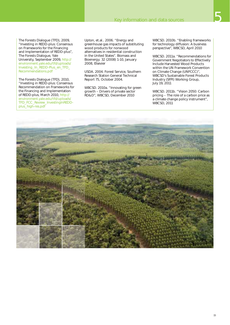

The Forests Dialogue (TFD), 2009, "Investing in REDD-plus: Consensus on Frameworks for the Financing and Implementation of REDD-plus", The Forests Dialogue, Yale University, September 2009, http:// environment.yale.edu/tfd/uploads/ Investing\_In\_REDD-Plus\_en\_TFD\_ Recommendations.pdf

The Forests Dialogue (TFD), 2010, "Investing in REDD-plus: Consensus Recommendation on Frameworks for the Financing and Implementation of REDD-plus, March 2010, http:// environment.yale.edu/tfd/uploads/ TFD\_FCC\_Review\_InvestingInREDDplus\_high-res.pdf

Upton, et.al.. 2006. "Energy and greenhouse gas impacts of substituting wood products for nonwood alternatives in residential construction in the United States". Biomass and Bioenergy. 32 (2008) 1-10, January 2008, Elsevier

USDA. 2004. Forest Service, Southern Research Station General Technical Report 75, October 2004.

WBCSD. 2010a. "Innovating for green growth – Drivers of private sector RD&D", WBCSD, December 2010

WBCSD. 2010b. "Enabling frameworks for technology diffusion: A business perspective", WBCSD, April 2010

WBCSD. 2011a. "Recommendations for Government Negotiators to Effectively Include Harvested Wood Products within the UN Framework Convention on Climate Change (UNFCCC)", WBCSD's Sustainable Forest Products Industry (SFPI) Working Group, July 19, 2011

WBCSD. 2011b. "Vision 2050: Carbon pricing – The role of a carbon price as a climate change policy instrument", WBCSD, 2011

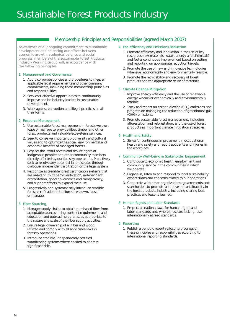## Membership Principles and Responsibilities (agreed March 2007)

As evidence of our ongoing commitment to sustainable development and balancing our efforts between economic growth, ecological balance and social progress, members of the Sustainable Forest Products Industry Working Group will, in accordance with the following principles:

#### 1 Management and Governance

- 1. Apply corporate policies and procedures to meet all applicable legal requirements and other company commitments, including these membership principles and responsibilities.
- 2. Seek cost-effective opportunities to continuously improve and be industry leaders in sustainable development.
- 3. Work against corruption and illegal practices, in all their forms.

#### 2 Resource Management

- 1. Use sustainable forest management in forests we own, lease or manage to provide fiber, timber and other forest products and valuable ecosystems services.
- 2. Seek to conserve important biodiversity and cultural values and to optimize the social, environmental and economic benefits of managed forests.
- 3. Respect the lawful access and tenure rights of indigenous peoples and other community members directly affected by our forestry operations. Proactively seek to resolve any potential land disputes through dialogue, independent arbitration or the legal system.
- 4. Recognize as credible forest certification systems that are based on third party verification, independent accreditation, good governance and transparency, and support efforts to expand their use.
- 5. Progressively and systematically introduce credible forest certification in the forests we own, lease or manage.

#### 3 Fiber Sourcing

- 1. Manage supply chains to obtain purchased fiber from acceptable sources, using contract requirements and education and outreach programs, as appropriate to the nature and scale of the fiber supply activities.
- 2. Ensure legal ownership of all fiber and wood utilized and comply with all applicable laws in forestry operations.
- 3. Introduce credible, independently certified woodtracing systems where needed to address significant risks.

#### 4 Eco-efficiency and Emissions Reduction

- 1. Promote efficiency and innovation in the use of key resources (raw materials, water, energy and chemicals) and foster continuous improvement based on setting and reporting on appropriate reduction targets.
- 2. Promote the use of new and innovative technologies whenever economically and environmentally feasible.
- 3. Promote the recyclability and recovery of forest products and the appropriate reuse of materials.

#### 5 Climate Change Mitigation

- 1. Improve energy efficiency and the use of renewable energy whenever economically and environmentally feasible.
- 2. Track and report on carbon dioxide  $(CO<sub>2</sub>)$  emissions and progress on managing the reduction of greenhouse gas (GHG) emissions.
- 3. Promote sustainable forest management, including afforestation and reforestation, and the use of forest products as important climate mitigation strategies.

#### 6 Health and Safety

1. Strive for continuous improvement in occupational health and safety and report accidents and injuries in the workplace.

#### 7 Community Well-being & Stakeholder Engagement

- 1. Contribute to economic health, employment and community service in the communities in which we operate.
- 2. Engage in, listen to and respond to local sustainability expectations and concerns related to our operations.
- 3. Cooperate with other organizations, governments and stakeholders to promote and develop sustainability in the forest products industry, including sharing best practices and lessons learned.

#### 8 Human Rights and Labor Standards

1. Respect all national laws for human rights and labor standards and, where these are lacking, use internationally agreed standards.

#### 9 Reporting

1. Publish a periodic report reflecting progress on these principles and responsibilities according to international reporting standards.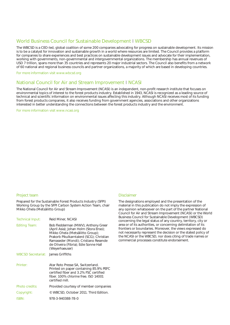### World Business Council for Sustainable Development I WBCSD

The WBCSD is a CEO-led, global coalition of some 200 companies advocating for progress on sustainable development. Its mission is to be a catalyst for innovation and sustainable growth in a world where resources are limited. The Council provides a platform for companies to share experiences and best practices on sustainable development issues and advocate for their implementation, working with governments, non-governmental and intergovernmental organizations. The membership has annual revenues of USD 7 trillion, spans more than 35 countries and represents 20 major industrial sectors. The Council also benefits from a network of 60 national and regional business councils and partner organizations, a majority of which are based in developing countries.

For more information visit www.wbcsd.org

#### National Council for Air and Stream Improvement I NCASI

The National Council for Air and Stream Improvement (NCASI) is an independent, non-profit research institute that focuses on environmental topics of interest to the forest products industry. Established in 1943, NCASI is recognized as a leading source of technical and scientific information on environmental issues affecting this industry. Although NCASI receives most of its funding from forest products companies, it also receives funding from government agencies, associations and other organizations interested in better understanding the connections between the forest products industry and the environment.

For more information visit www.ncasi.org

#### Project team

Prepared for the Sustainable Forest Products Industry (SFPI) Working Group by the SFPI Carbon System Action Team, chair Mikko Ohela (Metsäliitto Group)

| Technical Input:                   | Reid Miner, NCASI                                                                                                                                                                                                                                                |
|------------------------------------|------------------------------------------------------------------------------------------------------------------------------------------------------------------------------------------------------------------------------------------------------------------|
| <b>Editing Team:</b>               | Bob Fledderman (MWV); Anthony Greer<br>(April Asia); Johan Holm (Stora Enso);<br>Mikko Ohela (Metsäliitto Group);<br>Prakorb Pikulkarntalerd (SCG); Christian<br>Ramaseder (Mondi); Cristiano Resende<br>de Oliveira (Fibria); Edie Sonne Hall<br>(Weyerhaeuser) |
| WBCSD Secretariat: James Griffiths |                                                                                                                                                                                                                                                                  |
| Printer:                           | Atar Roto Presse SA, Switzerland.<br>Printed on paper containing 85.9% PEFC<br>certified fiber and 3.2% FSC certified<br>fiber. 100% chlorine free. ISO 14001<br>certified mill.                                                                                 |
| Photo credits:                     | Provided courtesy of member companies                                                                                                                                                                                                                            |
| Copyright:                         | © WBCSD, October 2011. Third Edition.                                                                                                                                                                                                                            |
| ISBN:                              | 978-3-940388-78-0                                                                                                                                                                                                                                                |
|                                    |                                                                                                                                                                                                                                                                  |

#### Disclaimer

The designations employed and the presentation of the material in this publication do not imply the expression of any opinion whatsoever on the part of the partner National Council for Air and Stream Improvement (NCASI) or the World Business Council for Sustainable Development (WBCSD) concerning the legal status of any country, territory, city or area or of its authorities, or concerning delimitation of its frontiers or boundaries. Moreover, the views expressed do not necessarily represent the decision or the stated policy of the NCASI or the WBCSD, nor does citing of trade names or commercial processes constitute endorsement.